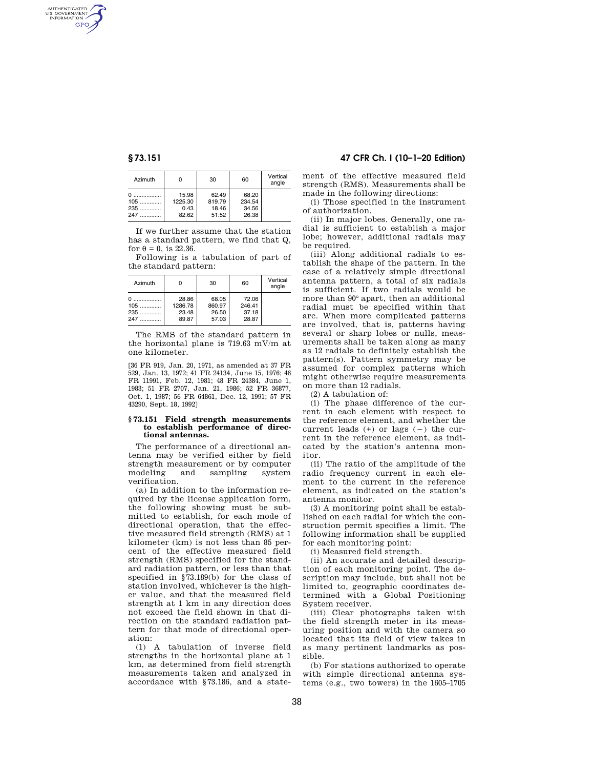AUTHENTICATED<br>U.S. GOVERNMENT<br>INFORMATION GPO

| Azimuth |         | 30     | 60     | Vertical<br>angle |
|---------|---------|--------|--------|-------------------|
| U       | 15.98   | 62.49  | 68.20  |                   |
| 105     | 1225.30 | 819.79 | 234.54 |                   |
| 235     | 0.43    | 18.46  | 34.56  |                   |
| 247     | 82.62   | 51.52  | 26.38  |                   |

If we further assume that the station has a standard pattern, we find that Q, for  $\theta = 0$ , is 22.36.

Following is a tabulation of part of the standard pattern:

| Azimuth               | 0                                  | 30                                | 60                                | Vertical<br>angle |
|-----------------------|------------------------------------|-----------------------------------|-----------------------------------|-------------------|
| $105$<br>$235$<br>247 | 28.86<br>1286.78<br>23.48<br>89.87 | 68.05<br>860.97<br>26.50<br>57.03 | 72.06<br>246.41<br>37.18<br>28.87 |                   |

The RMS of the standard pattern in the horizontal plane is 719.63 mV/m at one kilometer.

[36 FR 919, Jan. 20, 1971, as amended at 37 FR 529, Jan. 13, 1972; 41 FR 24134, June 15, 1976; 46 FR 11991, Feb. 12, 1981; 48 FR 24384, June 1, 1983; 51 FR 2707, Jan. 21, 1986; 52 FR 36877, Oct. 1, 1987; 56 FR 64861, Dec. 12, 1991; 57 FR 43290, Sept. 18, 1992]

#### **§ 73.151 Field strength measurements to establish performance of directional antennas.**

The performance of a directional antenna may be verified either by field strength measurement or by computer modeling and sampling system verification.

(a) In addition to the information required by the license application form, the following showing must be submitted to establish, for each mode of directional operation, that the effective measured field strength (RMS) at 1 kilometer (km) is not less than 85 percent of the effective measured field strength (RMS) specified for the standard radiation pattern, or less than that specified in §73.189(b) for the class of station involved, whichever is the higher value, and that the measured field strength at 1 km in any direction does not exceed the field shown in that direction on the standard radiation pattern for that mode of directional operation:

(1) A tabulation of inverse field strengths in the horizontal plane at 1 km, as determined from field strength measurements taken and analyzed in accordance with §73.186, and a state-

# **§ 73.151 47 CFR Ch. I (10–1–20 Edition)**

ment of the effective measured field strength (RMS). Measurements shall be made in the following directions:

(i) Those specified in the instrument of authorization.

(ii) In major lobes. Generally, one radial is sufficient to establish a major lobe; however, additional radials may be required.

(iii) Along additional radials to establish the shape of the pattern. In the case of a relatively simple directional antenna pattern, a total of six radials is sufficient. If two radials would be more than 90° apart, then an additional radial must be specified within that arc. When more complicated patterns are involved, that is, patterns having several or sharp lobes or nulls, measurements shall be taken along as many as 12 radials to definitely establish the pattern(s). Pattern symmetry may be assumed for complex patterns which might otherwise require measurements on more than 12 radials.

(2) A tabulation of:

(i) The phase difference of the current in each element with respect to the reference element, and whether the current leads  $(+)$  or lags  $(-)$  the current in the reference element, as indicated by the station's antenna monitor.

(ii) The ratio of the amplitude of the radio frequency current in each element to the current in the reference element, as indicated on the station's antenna monitor.

(3) A monitoring point shall be established on each radial for which the construction permit specifies a limit. The following information shall be supplied for each monitoring point:

(i) Measured field strength.

(ii) An accurate and detailed description of each monitoring point. The description may include, but shall not be limited to, geographic coordinates determined with a Global Positioning System receiver.

(iii) Clear photographs taken with the field strength meter in its measuring position and with the camera so located that its field of view takes in as many pertinent landmarks as possible.

(b) For stations authorized to operate with simple directional antenna systems (e.g., two towers) in the 1605–1705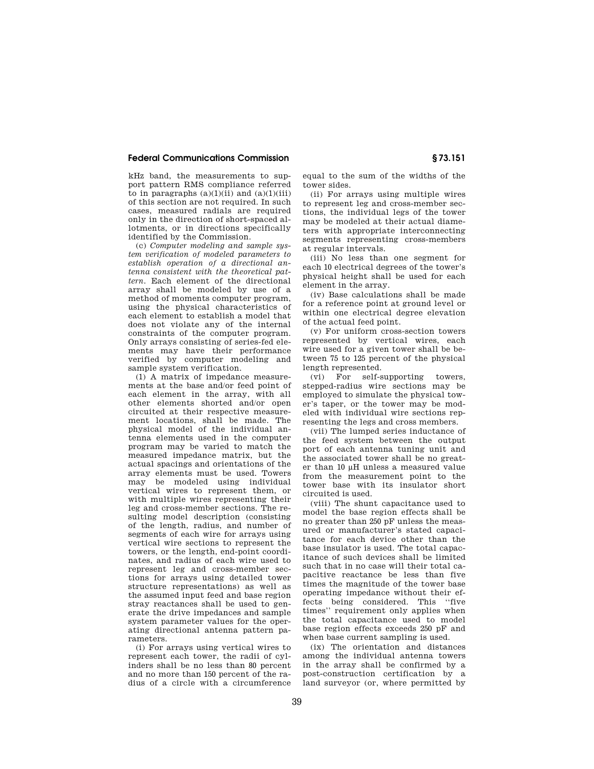### **Federal Communications Commission § 73.151**

kHz band, the measurements to support pattern RMS compliance referred to in paragraphs  $(a)(1)(ii)$  and  $(a)(1)(iii)$ of this section are not required. In such cases, measured radials are required only in the direction of short-spaced allotments, or in directions specifically identified by the Commission.

(c) *Computer modeling and sample system verification of modeled parameters to establish operation of a directional antenna consistent with the theoretical pattern.* Each element of the directional array shall be modeled by use of a method of moments computer program, using the physical characteristics of each element to establish a model that does not violate any of the internal constraints of the computer program. Only arrays consisting of series-fed elements may have their performance verified by computer modeling and sample system verification.

(1) A matrix of impedance measurements at the base and/or feed point of each element in the array, with all other elements shorted and/or open circuited at their respective measurement locations, shall be made. The physical model of the individual antenna elements used in the computer program may be varied to match the measured impedance matrix, but the actual spacings and orientations of the array elements must be used. Towers may be modeled using individual vertical wires to represent them, or with multiple wires representing their leg and cross-member sections. The resulting model description (consisting of the length, radius, and number of segments of each wire for arrays using vertical wire sections to represent the towers, or the length, end-point coordinates, and radius of each wire used to represent leg and cross-member sections for arrays using detailed tower structure representations) as well as the assumed input feed and base region stray reactances shall be used to generate the drive impedances and sample system parameter values for the operating directional antenna pattern parameters.

(i) For arrays using vertical wires to represent each tower, the radii of cylinders shall be no less than 80 percent and no more than 150 percent of the radius of a circle with a circumference equal to the sum of the widths of the tower sides.

(ii) For arrays using multiple wires to represent leg and cross-member sections, the individual legs of the tower may be modeled at their actual diameters with appropriate interconnecting segments representing cross-members at regular intervals.

(iii) No less than one segment for each 10 electrical degrees of the tower's physical height shall be used for each element in the array.

(iv) Base calculations shall be made for a reference point at ground level or within one electrical degree elevation of the actual feed point.

(v) For uniform cross-section towers represented by vertical wires, each wire used for a given tower shall be between 75 to 125 percent of the physical length represented.

(vi) For self-supporting towers, stepped-radius wire sections may be employed to simulate the physical tower's taper, or the tower may be modeled with individual wire sections representing the legs and cross members.

(vii) The lumped series inductance of the feed system between the output port of each antenna tuning unit and the associated tower shall be no greater than 10 μH unless a measured value from the measurement point to the tower base with its insulator short circuited is used.

(viii) The shunt capacitance used to model the base region effects shall be no greater than 250 pF unless the measured or manufacturer's stated capacitance for each device other than the base insulator is used. The total capacitance of such devices shall be limited such that in no case will their total capacitive reactance be less than five times the magnitude of the tower base operating impedance without their effects being considered. This ''five times'' requirement only applies when the total capacitance used to model base region effects exceeds 250 pF and when base current sampling is used.

(ix) The orientation and distances among the individual antenna towers in the array shall be confirmed by a post-construction certification by a land surveyor (or, where permitted by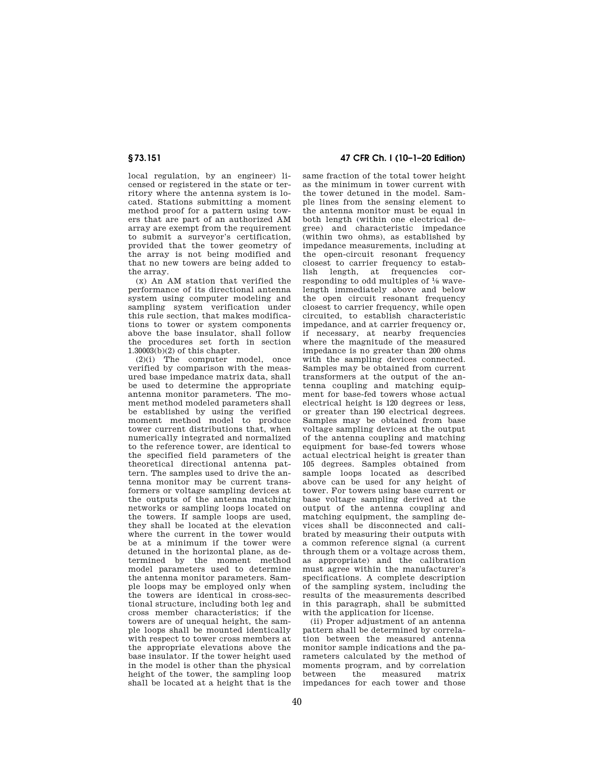local regulation, by an engineer) licensed or registered in the state or territory where the antenna system is located. Stations submitting a moment method proof for a pattern using towers that are part of an authorized AM array are exempt from the requirement to submit a surveyor's certification, provided that the tower geometry of the array is not being modified and that no new towers are being added to the array.

(x) An AM station that verified the performance of its directional antenna system using computer modeling and sampling system verification under this rule section, that makes modifications to tower or system components above the base insulator, shall follow the procedures set forth in section 1.30003(b)(2) of this chapter.

(2)(i) The computer model, once verified by comparison with the measured base impedance matrix data, shall be used to determine the appropriate antenna monitor parameters. The moment method modeled parameters shall be established by using the verified moment method model to produce tower current distributions that, when numerically integrated and normalized to the reference tower, are identical to the specified field parameters of the theoretical directional antenna pattern. The samples used to drive the antenna monitor may be current transformers or voltage sampling devices at the outputs of the antenna matching networks or sampling loops located on the towers. If sample loops are used, they shall be located at the elevation where the current in the tower would be at a minimum if the tower were detuned in the horizontal plane, as determined by the moment method model parameters used to determine the antenna monitor parameters. Sample loops may be employed only when the towers are identical in cross-sectional structure, including both leg and cross member characteristics; if the towers are of unequal height, the sample loops shall be mounted identically with respect to tower cross members at the appropriate elevations above the base insulator. If the tower height used in the model is other than the physical height of the tower, the sampling loop shall be located at a height that is the

# **§ 73.151 47 CFR Ch. I (10–1–20 Edition)**

same fraction of the total tower height as the minimum in tower current with the tower detuned in the model. Sample lines from the sensing element to the antenna monitor must be equal in both length (within one electrical degree) and characteristic impedance (within two ohms), as established by impedance measurements, including at the open-circuit resonant frequency closest to carrier frequency to estab-<br>lish length at frequencies corlish length, at frequencies responding to odd multiples of 1⁄8 wavelength immediately above and below the open circuit resonant frequency closest to carrier frequency, while open circuited, to establish characteristic impedance, and at carrier frequency or, if necessary, at nearby frequencies where the magnitude of the measured impedance is no greater than 200 ohms with the sampling devices connected. Samples may be obtained from current transformers at the output of the antenna coupling and matching equipment for base-fed towers whose actual electrical height is 120 degrees or less, or greater than 190 electrical degrees. Samples may be obtained from base voltage sampling devices at the output of the antenna coupling and matching equipment for base-fed towers whose actual electrical height is greater than 105 degrees. Samples obtained from sample loops located as described above can be used for any height of tower. For towers using base current or base voltage sampling derived at the output of the antenna coupling and matching equipment, the sampling devices shall be disconnected and calibrated by measuring their outputs with a common reference signal (a current through them or a voltage across them, as appropriate) and the calibration must agree within the manufacturer's specifications. A complete description of the sampling system, including the results of the measurements described in this paragraph, shall be submitted with the application for license.

(ii) Proper adjustment of an antenna pattern shall be determined by correlation between the measured antenna monitor sample indications and the parameters calculated by the method of moments program, and by correlation between the measured matrix impedances for each tower and those